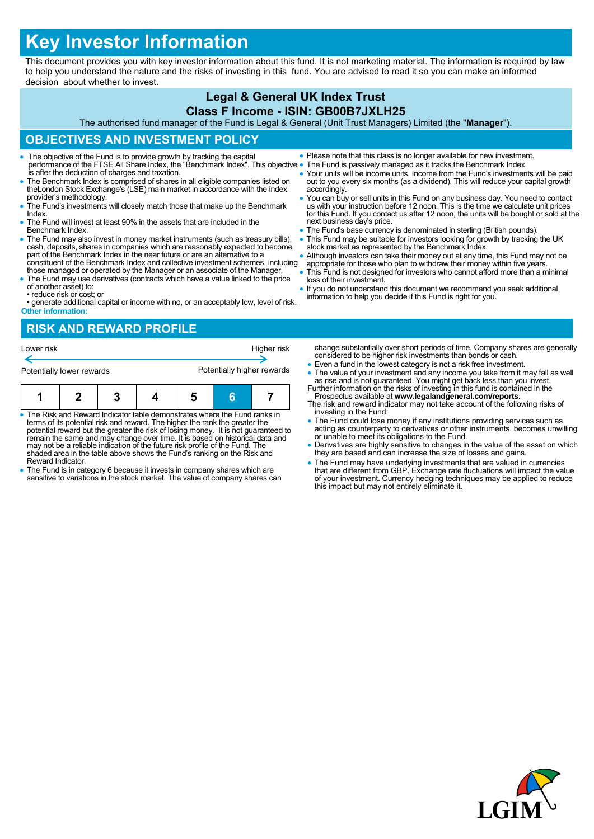# **Key Investor Information**

This document provides you with key investor information about this fund. It is not marketing material. The information is required by law to help you understand the nature and the risks of investing in this fund. You are advised to read it so you can make an informed decision about whether to invest.

### **Legal & General UK Index Trust Class F Income - ISIN: GB00B7JXLH25**

The authorised fund manager of the Fund is Legal & General (Unit Trust Managers) Limited (the "**Manager**").

## **OBJECTIVES AND INVESTMENT POLICY**

- The objective of the Fund is to provide growth by tracking the capital **Indeer Share Index** Please note that this class is no longer available for new investmer<br>The Fund is passively managed as it tracks the Benchmark Inde is after the deduction of charges and taxation.
- The Benchmark Index is comprised of shares in all eligible companies listed on theLondon Stock Exchange's (LSE) main market in accordance with the index provider's methodology.
- The Fund's investments will closely match those that make up the Benchmark Index.
- The Fund will invest at least 90% in the assets that are included in the Benchmark Index.
- The Fund may also invest in money market instruments (such as treasury bills), cash, deposits, shares in companies which are reasonably expected to become part of the Benchmark Index in the near future or are an alternative to a constituent of the Benchmark Index and collective investment schemes, including
- those managed or operated by the Manager or an associate of the Manager. The Fund may use derivatives (contracts which have a value linked to the price
- of another asset) to: • reduce risk or cost; or

• generate additional capital or income with no, or an acceptably low, level of risk. **Other information:**

- Please note that this class is no longer available for new investment.
- 
- Your units will be income units. Income from the Fund's investments will be paid out to you every six months (as a dividend). This will reduce your capital growth accordingly.
- You can buy or sell units in this Fund on any business day. You need to contact us with your instruction before 12 noon. This is the time we calculate unit prices for this Fund. If you contact us after 12 noon, the units will be bought or sold at the next business day's price.
- **The Fund's base currency is denominated in sterling (British pounds).**
- This Fund may be suitable for investors looking for growth by tracking the UK stock market as represented by the Benchmark Index.
- Although investors can take their money out at any time, this Fund may not be appropriate for those who plan to withdraw their money within five years.
- This Fund is not designed for investors who cannot afford more than a minimal loss of their investment.
- If you do not understand this document we recommend you seek additional information to help you decide if this Fund is right for you.

# **RISK AND REWARD PROFILE**



- The Risk and Reward Indicator table demonstrates where the Fund ranks in terms of its potential risk and reward. The higher the rank the greater the potential reward but the greater the risk of losing money. It is not guaranteed to remain the same and may change over time. It is based on historical data and may not be a reliable indication of the future risk profile of the Fund. The shaded area in the table above shows the Fund's ranking on the Risk and Reward Indicator.
- The Fund is in category 6 because it invests in company shares which are sensitive to variations in the stock market. The value of company shares can
- change substantially over short periods of time. Company shares are generally considered to be higher risk investments than bonds or cash.
- Even a fund in the lowest category is not a risk free investment. • The value of your investment and any income you take from it may fall as well as rise and is not guaranteed. You might get back less than you invest.<br>Further information on the risks of investing in this fund is containe
- Prospectus available at **www.legalandgeneral.com/reports**.
- The risk and reward indicator may not take account of the following risks of investing in the Fund:
- The Fund could lose money if any institutions providing services such as acting as counterparty to derivatives or other instruments, becomes unwilling or unable to meet its obligations to the Fund.
- Derivatives are highly sensitive to changes in the value of the asset on which they are based and can increase the size of losses and gains.
- The Fund may have underlying investments that are valued in currencies that are different from GBP. Exchange rate fluctuations will impact the value of your investment. Currency hedging techniques may be applied to reduce this impact but may not entirely eliminate it.